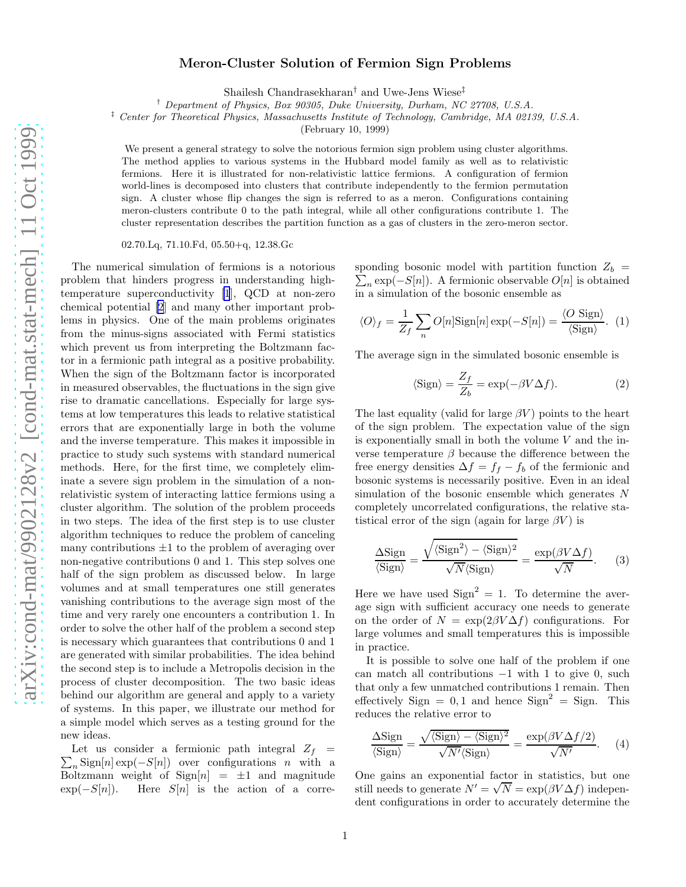## Meron-Cluster Solution of Fermion Sign Problems

Shailesh Chandrasekharan† and Uwe-Jens Wiese‡

† Department of Physics, Box 90305, Duke University, Durham, NC 27708, U.S.A.

‡ Center for Theoretical Physics, Massachusetts Institute of Technology, Cambridge, MA 02139, U.S.A.

(February 10, 1999)

We present a general strategy to solve the notorious fermion sign problem using cluster algorithms. The method applies to various systems in the Hubbard model family as well as to relativistic fermions. Here it is illustrated for non-relativistic lattice fermions. A configuration of fermion world-lines is decomposed into clusters that contribute independently to the fermion permutation sign. A cluster whose flip changes the sign is referred to as a meron. Configurations containing meron-clusters contribute 0 to the path integral, while all other configurations contribute 1. The cluster representation describes the partition function as a gas of clusters in the zero-meron sector.

02.70.Lq, 71.10.Fd, 05.50+q, 12.38.Gc

The numerical simulation of fermions is a notorious problem that hinders progress in understanding hightemperature superconductivity [\[1](#page-3-0)], QCD at non-zero chemical potential [\[2](#page-3-0)] and many other important problems in physics. One of the main problems originates from the minus-signs associated with Fermi statistics which prevent us from interpreting the Boltzmann factor in a fermionic path integral as a positive probability. When the sign of the Boltzmann factor is incorporated in measured observables, the fluctuations in the sign give rise to dramatic cancellations. Especially for large systems at low temperatures this leads to relative statistical errors that are exponentially large in both the volume and the inverse temperature. This makes it impossible in practice to study such systems with standard numerical methods. Here, for the first time, we completely eliminate a severe sign problem in the simulation of a nonrelativistic system of interacting lattice fermions using a cluster algorithm. The solution of the problem proceeds in two steps. The idea of the first step is to use cluster algorithm techniques to reduce the problem of canceling many contributions  $\pm 1$  to the problem of averaging over non-negative contributions 0 and 1. This step solves one half of the sign problem as discussed below. In large volumes and at small temperatures one still generates vanishing contributions to the average sign most of the time and very rarely one encounters a contribution 1. In order to solve the other half of the problem a second step is necessary which guarantees that contributions 0 and 1 are generated with similar probabilities. The idea behind the second step is to include a Metropolis decision in the process of cluster decomposition. The two basic ideas behind our algorithm are general and apply to a variety of systems. In this paper, we illustrate our method for a simple model which serves as a testing ground for the new ideas.

 $\sum_{n}$ Sign[n] exp(-S[n]) over configurations n with a Let us consider a fermionic path integral  $Z_f$  = Boltzmann weight of  $Sign[n] = \pm 1$  and magnitude<br>exp( $-S[n]$ ). Here  $S[n]$  is the action of a corre-Here  $S[n]$  is the action of a corre-

 $\sum_{n} \exp(-S[n])$ . A fermionic observable  $O[n]$  is obtained sponding bosonic model with partition function  $Z_b$  = in a simulation of the bosonic ensemble as

$$
\langle O \rangle_f = \frac{1}{Z_f} \sum_n O[n] \text{Sign}[n] \exp(-S[n]) = \frac{\langle O \text{ Sign} \rangle}{\langle \text{Sign} \rangle}. \tag{1}
$$

The average sign in the simulated bosonic ensemble is

$$
\langle \text{Sign} \rangle = \frac{Z_f}{Z_b} = \exp(-\beta V \Delta f). \tag{2}
$$

The last equality (valid for large  $\beta V$ ) points to the heart of the sign problem. The expectation value of the sign is exponentially small in both the volume  $V$  and the inverse temperature  $\beta$  because the difference between the free energy densities  $\Delta f = f_f - f_b$  of the fermionic and bosonic systems is necessarily positive. Even in an ideal simulation of the bosonic ensemble which generates N completely uncorrelated configurations, the relative statistical error of the sign (again for large  $\beta V$ ) is

$$
\frac{\Delta \text{Sign}}{\langle \text{Sign} \rangle} = \frac{\sqrt{\langle \text{Sign}^2 \rangle - \langle \text{Sign} \rangle^2}}{\sqrt{N} \langle \text{Sign} \rangle} = \frac{\exp(\beta V \Delta f)}{\sqrt{N}}. \tag{3}
$$

Here we have used  $Sign^2 = 1$ . To determine the average sign with sufficient accuracy one needs to generate on the order of  $N = \exp(2\beta V \Delta f)$  configurations. For large volumes and small temperatures this is impossible in practice.

It is possible to solve one half of the problem if one can match all contributions  $-1$  with 1 to give 0, such that only a few unmatched contributions 1 remain. Then effectively Sign = 0,1 and hence  $Sign^2 = Sign$ . This reduces the relative error to

$$
\frac{\Delta \text{Sign}}{\langle \text{Sign} \rangle} = \frac{\sqrt{\langle \text{Sign} \rangle - \langle \text{Sign} \rangle^2}}{\sqrt{N'} \langle \text{Sign} \rangle}} = \frac{\exp(\beta V \Delta f/2)}{\sqrt{N'}}. \quad (4)
$$

One gains an exponential factor in statistics, but one still needs to generate  $N' = \sqrt{N} = \exp(\beta V \Delta f)$  independent configurations in order to accurately determine the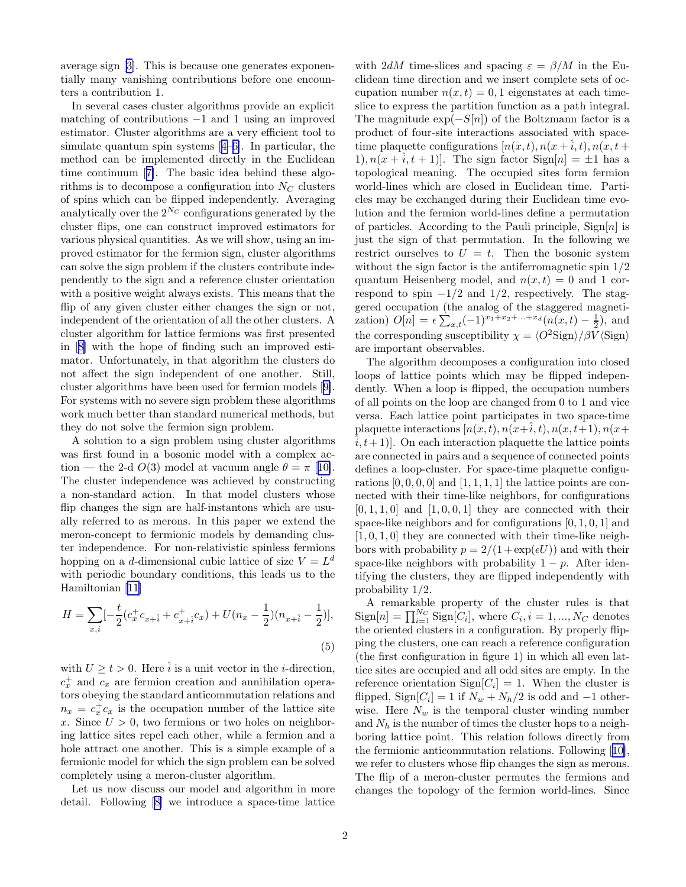average sign [\[3](#page-3-0)]. This is because one generates exponentially many vanishing contributions before one encounters a contribution 1.

In several cases cluster algorithms provide an explicit matching of contributions −1 and 1 using an improved estimator. Cluster algorithms are a very efficient tool to simulate quantum spin systems[[4–6\]](#page-3-0). In particular, the method can be implemented directly in the Euclidean time continuum[[7\]](#page-3-0). The basic idea behind these algorithms is to decompose a configuration into  $N_C$  clusters of spins which can be flipped independently. Averaging analytically over the  $2^{N_C}$  configurations generated by the cluster flips, one can construct improved estimators for various physical quantities. As we will show, using an improved estimator for the fermion sign, cluster algorithms can solve the sign problem if the clusters contribute independently to the sign and a reference cluster orientation with a positive weight always exists. This means that the flip of any given cluster either changes the sign or not, independent of the orientation of all the other clusters. A cluster algorithm for lattice fermions was first presented in[[8\]](#page-3-0) with the hope of finding such an improved estimator. Unfortunately, in that algorithm the clusters do not affect the sign independent of one another. Still, cluster algorithms have been used for fermion models[[9\]](#page-3-0). For systems with no severe sign problem these algorithms work much better than standard numerical methods, but they do not solve the fermion sign problem.

A solution to a sign problem using cluster algorithms was first found in a bosonic model with a complex action — the 2-d  $O(3)$  model at vacuum angle  $\theta = \pi$  [[10\]](#page-3-0). The cluster independence was achieved by constructing a non-standard action. In that model clusters whose flip changes the sign are half-instantons which are usually referred to as merons. In this paper we extend the meron-concept to fermionic models by demanding cluster independence. For non-relativistic spinless fermions hopping on a *d*-dimensional cubic lattice of size  $V = L<sup>d</sup>$ with periodic boundary conditions, this leads us to the Hamiltonian [\[11](#page-3-0)]

$$
H = \sum_{x,i} \left[-\frac{t}{2} (c_x^{\dagger} c_{x+\hat{i}} + c_{x+\hat{i}}^{\dagger} c_x) + U(n_x - \frac{1}{2})(n_{x+\hat{i}} - \frac{1}{2})\right],\tag{5}
$$

with  $U \geq t > 0$ . Here  $\hat{i}$  is a unit vector in the *i*-direction,  $c_x^+$  and  $c_x$  are fermion creation and annihilation operators obeying the standard anticommutation relations and  $n_x = c_x^{\dagger} c_x$  is the occupation number of the lattice site x. Since  $U > 0$ , two fermions or two holes on neighboring lattice sites repel each other, while a fermion and a hole attract one another. This is a simple example of a fermionic model for which the sign problem can be solved completely using a meron-cluster algorithm.

Let us now discuss our model and algorithm in more detail. Following [\[8](#page-3-0)] we introduce a space-time lattice

with 2dM time-slices and spacing  $\varepsilon = \beta/M$  in the Euclidean time direction and we insert complete sets of occupation number  $n(x, t) = 0, 1$  eigenstates at each timeslice to express the partition function as a path integral. The magnitude  $\exp(-S[n])$  of the Boltzmann factor is a product of four-site interactions associated with spacetime plaquette configurations  $[n(x,t), n(x+\hat{i},t), n(x,t+\hat{j},t)]$ 1),  $n(x + i, t + 1)$ . The sign factor Sign[n] =  $\pm 1$  has a topological meaning. The occupied sites form fermion world-lines which are closed in Euclidean time. Particles may be exchanged during their Euclidean time evolution and the fermion world-lines define a permutation of particles. According to the Pauli principle,  $Sign[n]$  is just the sign of that permutation. In the following we restrict ourselves to  $U = t$ . Then the bosonic system without the sign factor is the antiferromagnetic spin 1/2 quantum Heisenberg model, and  $n(x, t) = 0$  and 1 correspond to spin  $-1/2$  and  $1/2$ , respectively. The staggered occupation (the analog of the staggered magnetization)  $O[n] = \epsilon \sum_{x,t} (-1)^{x_1+x_2+\ldots+x_d} (n(x,t) - \frac{1}{2}),$  and the corresponding susceptibility  $\chi = \langle O^2 \text{Sign} \rangle / \beta V \langle \text{Sign} \rangle$ are important observables.

The algorithm decomposes a configuration into closed loops of lattice points which may be flipped independently. When a loop is flipped, the occupation numbers of all points on the loop are changed from 0 to 1 and vice versa. Each lattice point participates in two space-time plaquette interactions  $[n(x,t), n(x+\hat{i},t), n(x,t+1), n(x+\hat{i},t)]$  $(i, t+1)$ . On each interaction plaquette the lattice points are connected in pairs and a sequence of connected points defines a loop-cluster. For space-time plaquette configurations  $[0, 0, 0, 0]$  and  $[1, 1, 1, 1]$  the lattice points are connected with their time-like neighbors, for configurations  $[0, 1, 1, 0]$  and  $[1, 0, 0, 1]$  they are connected with their space-like neighbors and for configurations  $[0, 1, 0, 1]$  and  $[1, 0, 1, 0]$  they are connected with their time-like neighbors with probability  $p = 2/(1 + \exp(\epsilon U))$  and with their space-like neighbors with probability  $1 - p$ . After identifying the clusters, they are flipped independently with probability 1/2.

A remarkable property of the cluster rules is that  $\text{Sign}[n] = \prod_{i=1}^{N_C} \text{Sign}[C_i]$ , where  $C_i, i = 1, ..., N_C$  denotes the oriented clusters in a configuration. By properly flipping the clusters, one can reach a reference configuration (the first configuration in figure 1) in which all even lattice sites are occupied and all odd sites are empty. In the reference orientation  $\text{Sign}[C_i] = 1$ . When the cluster is flipped, Sign $[C_i] = 1$  if  $N_w + N_h/2$  is odd and  $-1$  otherwise. Here  $N_w$  is the temporal cluster winding number and  $N_h$  is the number of times the cluster hops to a neighboring lattice point. This relation follows directly from the fermionic anticommutation relations. Following[[10\]](#page-3-0), we refer to clusters whose flip changes the sign as merons. The flip of a meron-cluster permutes the fermions and changes the topology of the fermion world-lines. Since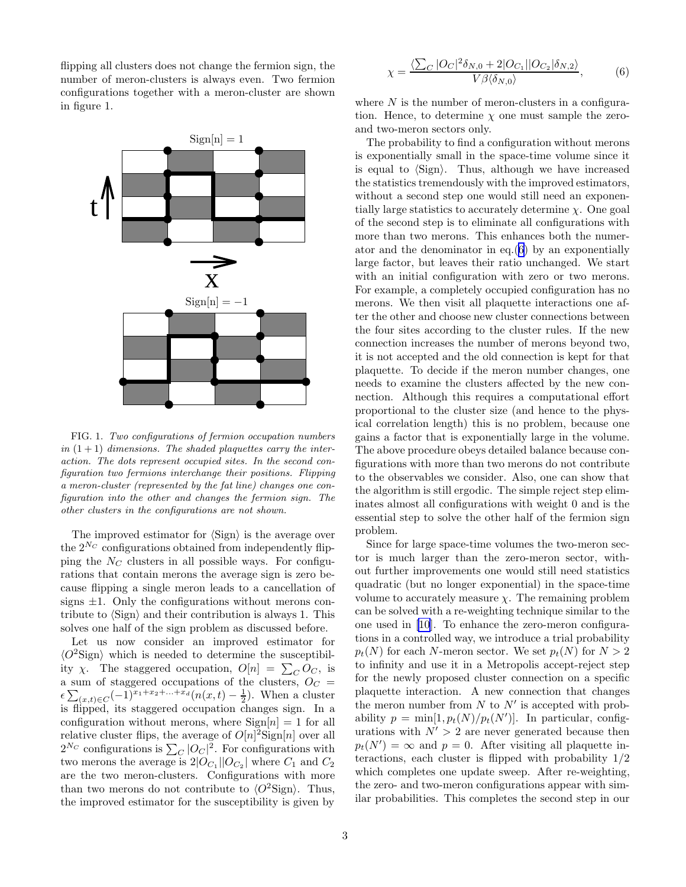flipping all clusters does not change the fermion sign, the number of meron-clusters is always even. Two fermion configurations together with a meron-cluster are shown in figure 1.



FIG. 1. Two configurations of fermion occupation numbers in  $(1 + 1)$  dimensions. The shaded plaquettes carry the interaction. The dots represent occupied sites. In the second configuration two fermions interchange their positions. Flipping a meron-cluster (represented by the fat line) changes one configuration into the other and changes the fermion sign. The other clusters in the configurations are not shown.

The improved estimator for  $\langle$ Sign $\rangle$  is the average over the  $2^{N_C}$  configurations obtained from independently flipping the  $N_C$  clusters in all possible ways. For configurations that contain merons the average sign is zero because flipping a single meron leads to a cancellation of signs  $\pm 1$ . Only the configurations without merons contribute to  $\langle$ Sign $\rangle$  and their contribution is always 1. This solves one half of the sign problem as discussed before.

Let us now consider an improved estimator for  $\langle O^2 \text{Sign} \rangle$  which is needed to determine the susceptibility  $\chi$ . The staggered occupation,  $O[n] = \sum_{C} O_C$ , is a sum of staggered occupations of the clusters,  $O_C$  =  $\epsilon \sum_{(x,t)\in C} (-1)^{x_1+x_2+\ldots+x_d} (n(x,t)-\frac{1}{2}).$  When a cluster is flipped, its staggered occupation changes sign. In a configuration without merons, where  $Sign[n] = 1$  for all relative cluster flips, the average of  $O[n]^2$ Sign $[n]$  over all  $2^{N_C}$  configurations is  $\sum_C |O_C|^2$ . For configurations with two merons the average is  $2|O_{C_1}||O_{C_2}|$  where  $C_1$  and  $C_2$ are the two meron-clusters. Configurations with more than two merons do not contribute to  $\langle O^2 \text{Sign} \rangle$ . Thus, the improved estimator for the susceptibility is given by

$$
\chi = \frac{\langle \sum_C |O_C|^2 \delta_{N,0} + 2|O_{C_1}||O_{C_2}|\delta_{N,2}\rangle}{V\beta \langle \delta_{N,0}\rangle},\tag{6}
$$

where  $N$  is the number of meron-clusters in a configuration. Hence, to determine  $\chi$  one must sample the zeroand two-meron sectors only.

The probability to find a configuration without merons is exponentially small in the space-time volume since it is equal to  $\langle$ Sign $\rangle$ . Thus, although we have increased the statistics tremendously with the improved estimators, without a second step one would still need an exponentially large statistics to accurately determine  $\chi$ . One goal of the second step is to eliminate all configurations with more than two merons. This enhances both the numerator and the denominator in eq.(6) by an exponentially large factor, but leaves their ratio unchanged. We start with an initial configuration with zero or two merons. For example, a completely occupied configuration has no merons. We then visit all plaquette interactions one after the other and choose new cluster connections between the four sites according to the cluster rules. If the new connection increases the number of merons beyond two, it is not accepted and the old connection is kept for that plaquette. To decide if the meron number changes, one needs to examine the clusters affected by the new connection. Although this requires a computational effort proportional to the cluster size (and hence to the physical correlation length) this is no problem, because one gains a factor that is exponentially large in the volume. The above procedure obeys detailed balance because configurations with more than two merons do not contribute to the observables we consider. Also, one can show that the algorithm is still ergodic. The simple reject step eliminates almost all configurations with weight 0 and is the essential step to solve the other half of the fermion sign problem.

Since for large space-time volumes the two-meron sector is much larger than the zero-meron sector, without further improvements one would still need statistics quadratic (but no longer exponential) in the space-time volume to accurately measure  $\chi$ . The remaining problem can be solved with a re-weighting technique similar to the one used in[[10](#page-3-0)]. To enhance the zero-meron configurations in a controlled way, we introduce a trial probability  $p_t(N)$  for each N-meron sector. We set  $p_t(N)$  for  $N > 2$ to infinity and use it in a Metropolis accept-reject step for the newly proposed cluster connection on a specific plaquette interaction. A new connection that changes the meron number from  $N$  to  $N'$  is accepted with probability  $p = \min[1, p_t(N)/p_t(N')]$ . In particular, configurations with  $N' > 2$  are never generated because then  $p_t(N') = \infty$  and  $p = 0$ . After visiting all plaquette interactions, each cluster is flipped with probability 1/2 which completes one update sweep. After re-weighting, the zero- and two-meron configurations appear with similar probabilities. This completes the second step in our